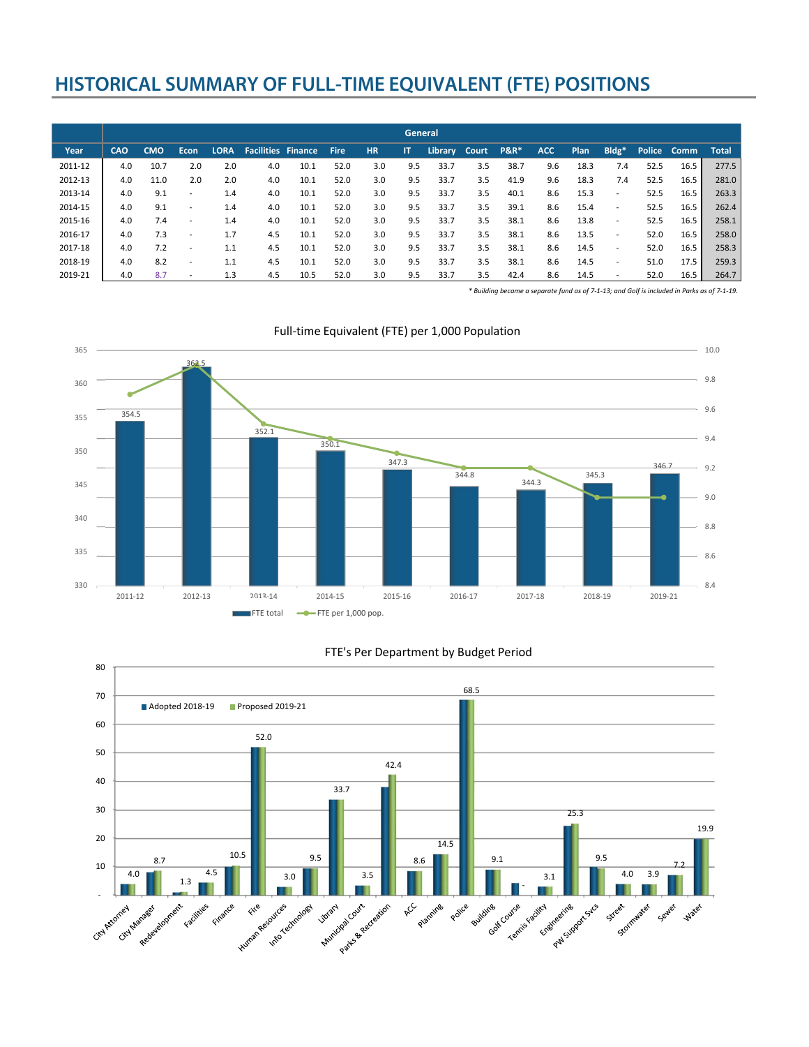## **HISTORICAL SUMMARY OF FULL-TIME EQUIVALENT (FTE) POSITIONS**

|         | General    |            |                          |             |                           |      |             |           |              |         |       |                 |            |      |                          |      |             |              |
|---------|------------|------------|--------------------------|-------------|---------------------------|------|-------------|-----------|--------------|---------|-------|-----------------|------------|------|--------------------------|------|-------------|--------------|
| Year    | <b>CAO</b> | <b>CMO</b> | <b>Econ</b>              | <b>LORA</b> | <b>Facilities Finance</b> |      | <b>Fire</b> | <b>HR</b> | $\mathsf{I}$ | Library | Court | <b>P&amp;R*</b> | <b>ACC</b> | Plan | Bldg*                    |      | Police Comm | <b>Total</b> |
| 2011-12 | 4.0        | 10.7       | 2.0                      | 2.0         | 4.0                       | 10.1 | 52.0        | 3.0       | 9.5          | 33.7    | 3.5   | 38.7            | 9.6        | 18.3 | 7.4                      | 52.5 | 16.5        | 277.5        |
| 2012-13 | 4.0        | 11.0       | 2.0                      | 2.0         | 4.0                       | 10.1 | 52.0        | 3.0       | 9.5          | 33.7    | 3.5   | 41.9            | 9.6        | 18.3 | 7.4                      | 52.5 | 16.5        | 281.0        |
| 2013-14 | 4.0        | 9.1        | $\overline{\phantom{0}}$ | 1.4         | 4.0                       | 10.1 | 52.0        | 3.0       | 9.5          | 33.7    | 3.5   | 40.1            | 8.6        | 15.3 | $\overline{\phantom{a}}$ | 52.5 | 16.5        | 263.3        |
| 2014-15 | 4.0        | 9.1        | $\overline{\phantom{0}}$ | 1.4         | 4.0                       | 10.1 | 52.0        | 3.0       | 9.5          | 33.7    | 3.5   | 39.1            | 8.6        | 15.4 | $\overline{\phantom{a}}$ | 52.5 | 16.5        | 262.4        |
| 2015-16 | 4.0        | 7.4        |                          | 1.4         | 4.0                       | 10.1 | 52.0        | 3.0       | 9.5          | 33.7    | 3.5   | 38.1            | 8.6        | 13.8 | $\overline{\phantom{a}}$ | 52.5 | 16.5        | 258.1        |
| 2016-17 | 4.0        | 7.3        |                          | 1.7         | 4.5                       | 10.1 | 52.0        | 3.0       | 9.5          | 33.7    | 3.5   | 38.1            | 8.6        | 13.5 | $\overline{\phantom{a}}$ | 52.0 | 16.5        | 258.0        |
| 2017-18 | 4.0        | 7.2        | $\overline{\phantom{0}}$ | 1.1         | 4.5                       | 10.1 | 52.0        | 3.0       | 9.5          | 33.7    | 3.5   | 38.1            | 8.6        | 14.5 | $\overline{\phantom{a}}$ | 52.0 | 16.5        | 258.3        |
| 2018-19 | 4.0        | 8.2        | $\overline{\phantom{0}}$ | 1.1         | 4.5                       | 10.1 | 52.0        | 3.0       | 9.5          | 33.7    | 3.5   | 38.1            | 8.6        | 14.5 | $\overline{\phantom{a}}$ | 51.0 | 17.5        | 259.3        |
| 2019-21 | 4.0        | 8.7        | $\overline{\phantom{0}}$ | 1.3         | 4.5                       | 10.5 | 52.0        | 3.0       | 9.5          | 33.7    | 3.5   | 42.4            | 8.6        | 14.5 |                          | 52.0 | 16.5        | 264.7        |

\* Building became a separate fund as of 7-1-13; and Golf is included in Parks as of 7-1-19.



## Full-time Equivalent (FTE) per 1,000 Population



## FTE's Per Department by Budget Period